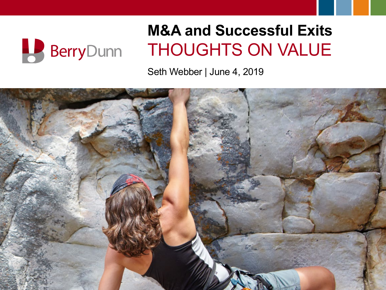

#### **M&A and Successful Exits** THOUGHTS ON VALUE

Seth Webber | June 4, 2019

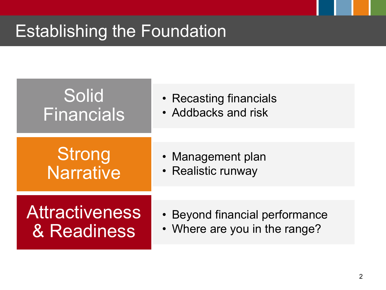# Establishing the Foundation

# Solid Financials

- Recasting financials
- Addbacks and risk

# **Strong Narrative**

- Management plan
- Realistic runway

**Attractiveness** & Readiness

- Beyond financial performance
- Where are you in the range?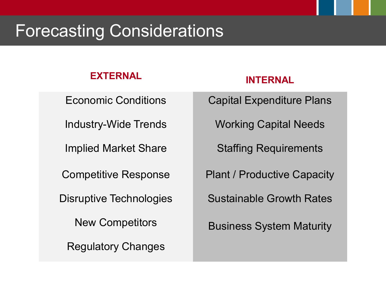#### Forecasting Considerations

#### **EXTERNAL INTERNAL**

Regulatory Changes

Economic Conditions **Capital Expenditure Plans** 

Industry-Wide Trends Working Capital Needs

Implied Market Share Staffing Requirements

Competitive Response Plant / Productive Capacity

Disruptive Technologies Sustainable Growth Rates

New Competitors **Business System Maturity**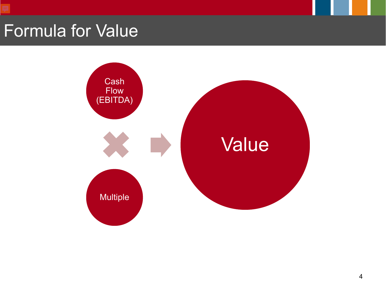#### Formula for Value

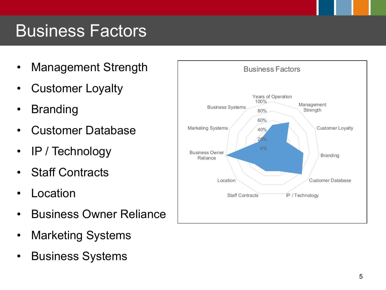#### Business Factors

- Management Strength | Business Factors
- Customer Loyalty
- Branding
- Customer Database
- IP / Technology
- Staff Contracts
- **Location**
- Business Owner Reliance
- Marketing Systems
- Business Systems

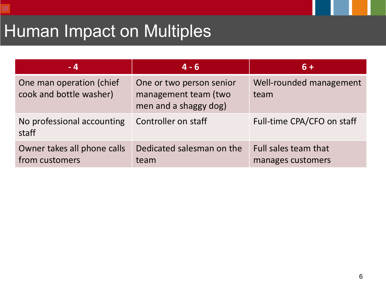# Human Impact on Multiples

| - 4                                                 | $4 - 6$                                                                   | $6+$                                      |
|-----------------------------------------------------|---------------------------------------------------------------------------|-------------------------------------------|
| One man operation (chief<br>cook and bottle washer) | One or two person senior<br>management team (two<br>men and a shaggy dog) | Well-rounded management<br>team           |
| No professional accounting<br>staff                 | Controller on staff                                                       | Full-time CPA/CFO on staff                |
| Owner takes all phone calls<br>from customers       | Dedicated salesman on the<br>team                                         | Full sales team that<br>manages customers |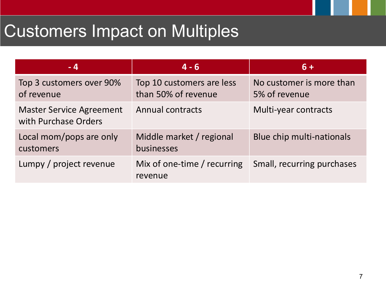# Customers Impact on Multiples

| - 4                                                     | $4 - 6$                                          | $6+$                                      |
|---------------------------------------------------------|--------------------------------------------------|-------------------------------------------|
| Top 3 customers over 90%<br>of revenue                  | Top 10 customers are less<br>than 50% of revenue | No customer is more than<br>5% of revenue |
| <b>Master Service Agreement</b><br>with Purchase Orders | <b>Annual contracts</b>                          | Multi-year contracts                      |
| Local mom/pops are only<br>customers                    | Middle market / regional<br>businesses           | Blue chip multi-nationals                 |
| Lumpy / project revenue                                 | Mix of one-time / recurring<br>revenue           | Small, recurring purchases                |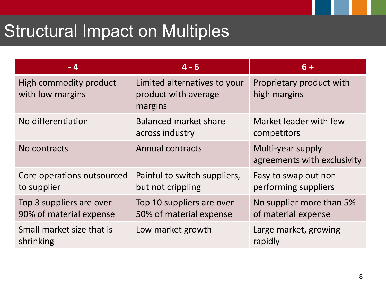# Structural Impact on Multiples

| $-4$                                                | $4 - 6$                                                         | $6+$                                             |
|-----------------------------------------------------|-----------------------------------------------------------------|--------------------------------------------------|
| High commodity product<br>with low margins          | Limited alternatives to your<br>product with average<br>margins | Proprietary product with<br>high margins         |
| No differentiation                                  | <b>Balanced market share</b><br>across industry                 | Market leader with few<br>competitors            |
| No contracts                                        | <b>Annual contracts</b>                                         | Multi-year supply<br>agreements with exclusivity |
| Core operations outsourced<br>to supplier           | Painful to switch suppliers,<br>but not crippling               | Easy to swap out non-<br>performing suppliers    |
| Top 3 suppliers are over<br>90% of material expense | Top 10 suppliers are over<br>50% of material expense            | No supplier more than 5%<br>of material expense  |
| Small market size that is<br>shrinking              | Low market growth                                               | Large market, growing<br>rapidly                 |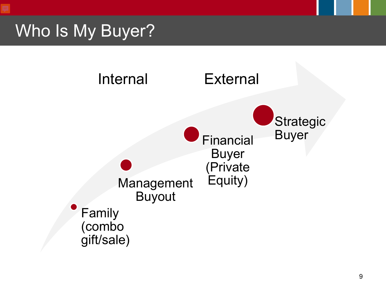#### Who Is My Buyer?

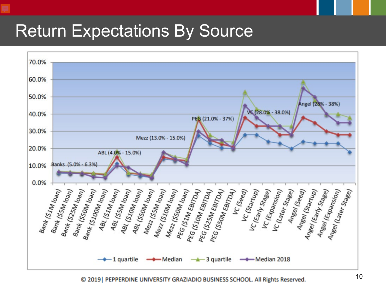#### Return Expectations By Source



© 2019 | PEPPERDINE UNIVERSITY GRAZIADIO BUSINESS SCHOOL. All Rights Reserved.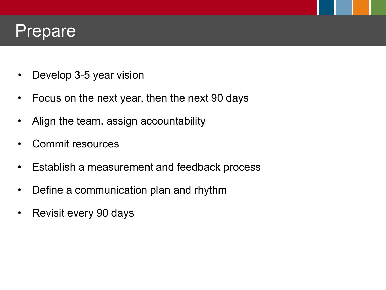#### Prepare

- Develop 3-5 year vision
- Focus on the next year, then the next 90 days
- Align the team, assign accountability
- Commit resources
- Establish a measurement and feedback process
- Define a communication plan and rhythm
- Revisit every 90 days